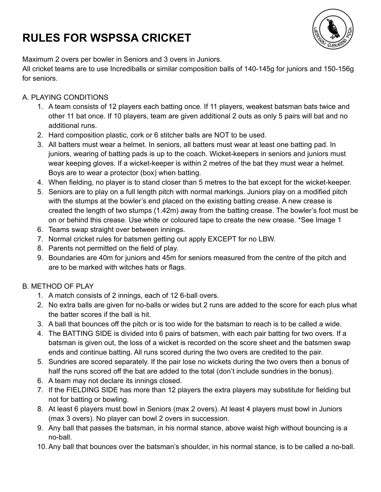# **RULES FOR WSPSSA CRICKET**



Maximum 2 overs per bowler in Seniors and 3 overs in Juniors.

All cricket teams are to use Incrediballs or similar composition balls of 140-145g for juniors and 150-156g for seniors.

## A. PLAYING CONDITIONS

- 1. A team consists of 12 players each batting once. If 11 players, weakest batsman bats twice and other 11 bat once. If 10 players, team are given additional 2 outs as only 5 pairs will bat and no additional runs.
- 2. Hard composition plastic, cork or 6 stitcher balls are NOT to be used.
- 3. All batters must wear a helmet. In seniors, all batters must wear at least one batting pad. In juniors, wearing of batting pads is up to the coach. Wicket-keepers in seniors and juniors must wear keeping gloves. If a wicket-keeper is within 2 metres of the bat they must wear a helmet. Boys are to wear a protector (box) when batting.
- 4. When fielding, no player is to stand closer than 5 metres to the bat except for the wicket-keeper.
- 5. Seniors are to play on a full length pitch with normal markings. Juniors play on a modified pitch with the stumps at the bowler's end placed on the existing batting crease. A new crease is created the length of two stumps (1.42m) away from the batting crease. The bowler's foot must be on or behind this crease. Use white or coloured tape to create the new crease. \*See Image 1
- 6. Teams swap straight over between innings.
- 7. Normal cricket rules for batsmen getting out apply EXCEPT for no LBW.
- 8. Parents not permitted on the field of play.
- 9. Boundaries are 40m for juniors and 45m for seniors measured from the centre of the pitch and are to be marked with witches hats or flags.

### B. METHOD OF PLAY

- 1. A match consists of 2 innings, each of 12 6-ball overs.
- 2. No extra balls are given for no-balls or wides but 2 runs are added to the score for each plus what the batter scores if the ball is hit.
- 3. A ball that bounces off the pitch or is too wide for the batsman to reach is to be called a wide.
- 4. The BATTING SIDE is divided into 6 pairs of batsmen, with each pair batting for two overs. If a batsman is given out, the loss of a wicket is recorded on the score sheet and the batsmen swap ends and continue batting. All runs scored during the two overs are credited to the pair.
- 5. Sundries are scored separately. If the pair lose no wickets during the two overs then a bonus of half the runs scored off the bat are added to the total (don't include sundries in the bonus).
- 6. A team may not declare its innings closed.
- 7. If the FIELDING SIDE has more than 12 players the extra players may substitute for fielding but not for batting or bowling.
- 8. At least 6 players must bowl in Seniors (max 2 overs). At least 4 players must bowl in Juniors (max 3 overs). No player can bowl 2 overs in succession.
- 9. Any ball that passes the batsman, in his normal stance, above waist high without bouncing is a no-ball.
- 10. Any ball that bounces over the batsman's shoulder, in his normal stance, is to be called a no-ball.